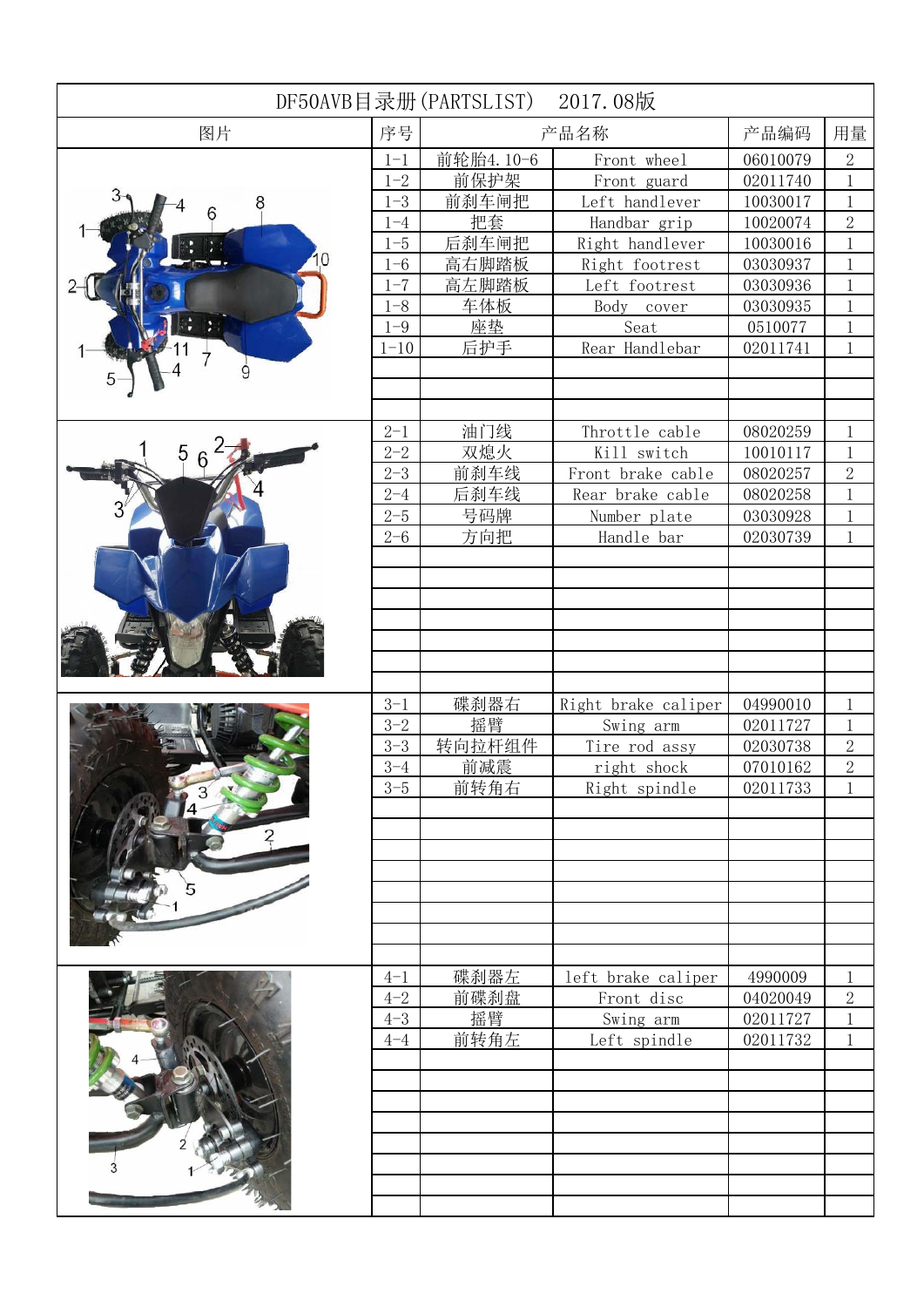| DF50AVB目录册(PARTSLIST)<br>2017.08版 |          |           |                     |          |                |
|-----------------------------------|----------|-----------|---------------------|----------|----------------|
| 图片                                |          | 产品名称      |                     | 产品编码     | 用量             |
|                                   | $1 - 1$  | 前轮胎4.10-6 | Front wheel         | 06010079 | $\mathbf{2}$   |
|                                   | $1 - 2$  | 前保护架      | Front guard         | 02011740 | $\mathbf{1}$   |
|                                   | $1 - 3$  | 前刹车闸把     | Left handlever      | 10030017 | $\mathbf{1}$   |
| 6                                 | $1 - 4$  | 把套        | Handbar grip        | 10020074 | $\overline{2}$ |
|                                   | $1 - 5$  | 后刹车闸把     | Right handlever     | 10030016 | 1              |
|                                   | $1 - 6$  | 高右脚踏板     | Right footrest      | 03030937 | $\mathbf{1}$   |
|                                   | $1 - 7$  | 高左脚踏板     | Left footrest       | 03030936 | $\mathbf{1}$   |
|                                   | $1 - 8$  | 车体板       | Body<br>cover       | 03030935 | $\mathbf{1}$   |
|                                   | $1 - 9$  | 座垫        | Seat                | 0510077  | $\mathbf{1}$   |
|                                   | $1 - 10$ | 后护手       | Rear Handlebar      | 02011741 | $\mathbf{1}$   |
| 9                                 |          |           |                     |          |                |
|                                   |          |           |                     |          |                |
|                                   |          |           |                     |          |                |
|                                   | $2 - 1$  | 油门线       | Throttle cable      | 08020259 | $\mathbf{1}$   |
| 5                                 | $2 - 2$  | 双熄火       | Kill switch         | 10010117 | $\mathbf{1}$   |
|                                   | $2 - 3$  | 前刹车线      | Front brake cable   | 08020257 | $\overline{2}$ |
|                                   | $2 - 4$  | 后刹车线      | Rear brake cable    | 08020258 | $\mathbf{1}$   |
|                                   | $2 - 5$  | 号码牌       | Number plate        | 03030928 | $\mathbf{1}$   |
|                                   | $2 - 6$  | 方向把       | Handle bar          | 02030739 | $\mathbf{1}$   |
|                                   |          |           |                     |          |                |
|                                   |          |           |                     |          |                |
|                                   |          |           |                     |          |                |
|                                   |          |           |                     |          |                |
|                                   |          |           |                     |          |                |
|                                   |          |           |                     |          |                |
|                                   |          |           |                     |          |                |
|                                   | $3 - 1$  | 碟刹器右      | Right brake caliper | 04990010 | $\mathbf{1}$   |
|                                   | $3 - 2$  | 摇臂        | Swing arm           | 02011727 | $\mathbf{1}$   |
|                                   | $3 - 3$  | 转向拉杆组件    | Tire rod assy       | 02030738 | $\sqrt{2}$     |
|                                   | $3 - 4$  | 前减震       | right shock         | 07010162 | $\overline{2}$ |
|                                   | $3 - 5$  | 前转角右      | Right spindle       | 02011733 | 1              |
|                                   |          |           |                     |          |                |
|                                   |          |           |                     |          |                |
|                                   |          |           |                     |          |                |
|                                   |          |           |                     |          |                |
|                                   |          |           |                     |          |                |
|                                   |          |           |                     |          |                |
|                                   |          |           |                     |          |                |
|                                   |          |           |                     |          |                |
|                                   | $4 - 1$  | 碟刹器左      | left brake caliper  | 4990009  | $\mathbf 1$    |
|                                   | $4 - 2$  | 前碟刹盘      | Front disc          | 04020049 | $\sqrt{2}$     |
|                                   | $4 - 3$  | 摇臂        | Swing arm           | 02011727 | $\mathbf 1$    |
|                                   | $4 - 4$  | 前转角左      | Left spindle        | 02011732 | $\mathbf{1}$   |
|                                   |          |           |                     |          |                |
|                                   |          |           |                     |          |                |
|                                   |          |           |                     |          |                |
|                                   |          |           |                     |          |                |
|                                   |          |           |                     |          |                |
|                                   |          |           |                     |          |                |
|                                   |          |           |                     |          |                |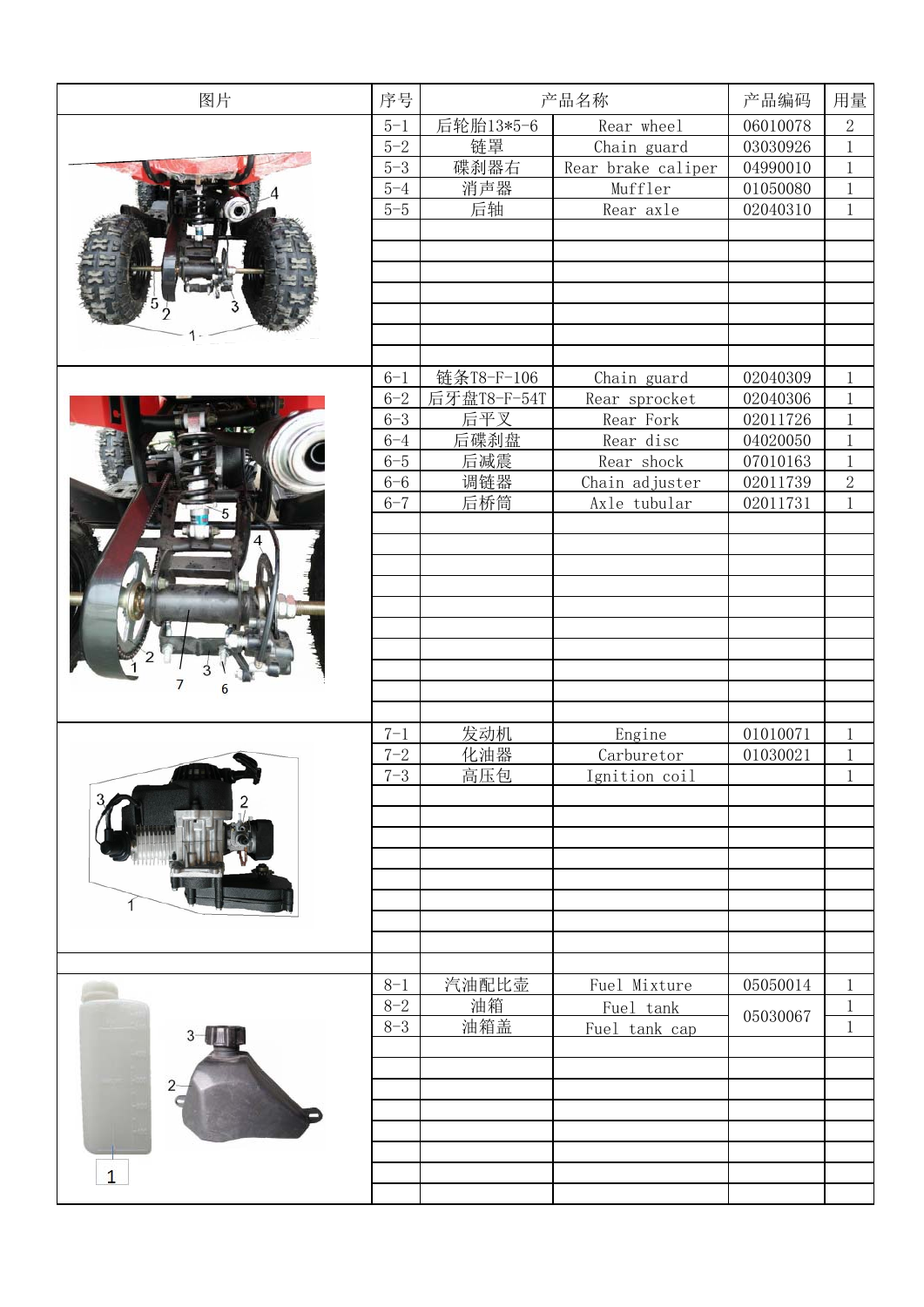| 图片             | 序号      | 产品名称        |                    | 产品编码     | 用量             |
|----------------|---------|-------------|--------------------|----------|----------------|
|                | $5 - 1$ | 后轮胎13*5-6   | Rear wheel         | 06010078 | $\overline{2}$ |
|                | $5 - 2$ | 链罩          | Chain guard        | 03030926 | $\mathbf 1$    |
|                | $5 - 3$ | 碟刹器右        | Rear brake caliper | 04990010 | $\mathbf 1$    |
|                | $5 - 4$ | 消声器         | Muffler            | 01050080 | $\mathbf 1$    |
|                | $5 - 5$ | 后轴          | Rear axle          | 02040310 | $\mathbf{1}$   |
|                |         |             |                    |          |                |
|                |         |             |                    |          |                |
|                |         |             |                    |          |                |
|                |         |             |                    |          |                |
|                |         |             |                    |          |                |
|                |         |             |                    |          |                |
|                |         |             |                    |          |                |
|                | $6 - 1$ | 链条T8-F-106  | Chain guard        | 02040309 | $\,1$          |
|                | $6 - 2$ | 后牙盘T8-F-54T | Rear sprocket      | 02040306 | $\,1$          |
|                | $6 - 3$ | 后平叉         | Rear Fork          | 02011726 | $\mathbf 1$    |
|                | $6 - 4$ | 后碟刹盘        | Rear disc          | 04020050 | $\,1$          |
|                | $6 - 5$ | 后减震         | Rear shock         | 07010163 | $\,1$          |
|                | $6 - 6$ | 调链器         | Chain adjuster     | 02011739 | $\overline{2}$ |
|                | $6 - 7$ | 后桥筒         | Axle tubular       | 02011731 | $\,1$          |
|                |         |             |                    |          |                |
|                |         |             |                    |          |                |
|                |         |             |                    |          |                |
|                |         |             |                    |          |                |
|                |         |             |                    |          |                |
|                |         |             |                    |          |                |
|                |         |             |                    |          |                |
|                |         |             |                    |          |                |
| 6              |         |             |                    |          |                |
|                |         |             |                    |          |                |
|                | $7 - 1$ | 发动机         | Engine             | 01010071 | $\mathbf 1$    |
|                | $7 - 2$ | 化油器         | Carburetor         | 01030021 | $\mathbf 1$    |
| 148            | $7 - 3$ | 高压包         | Ignition coil      |          | $\,1$          |
|                |         |             |                    |          |                |
|                |         |             |                    |          |                |
|                |         |             |                    |          |                |
|                |         |             |                    |          |                |
|                |         |             |                    |          |                |
|                |         |             |                    |          |                |
|                |         |             |                    |          |                |
|                |         |             |                    |          |                |
|                |         |             |                    |          |                |
|                | $8 - 1$ | 汽油配比壶       | Fuel Mixture       | 05050014 | $\mathbf 1$    |
|                | $8 - 2$ | 油箱          | Fuel tank          |          | $\mathbf 1$    |
|                | $8 - 3$ | 油箱盖         | Fuel tank cap      | 05030067 | $\mathbf{1}$   |
|                |         |             |                    |          |                |
|                |         |             |                    |          |                |
| $\overline{2}$ |         |             |                    |          |                |
|                |         |             |                    |          |                |
|                |         |             |                    |          |                |
|                |         |             |                    |          |                |
| $\mathbf{1}$   |         |             |                    |          |                |
|                |         |             |                    |          |                |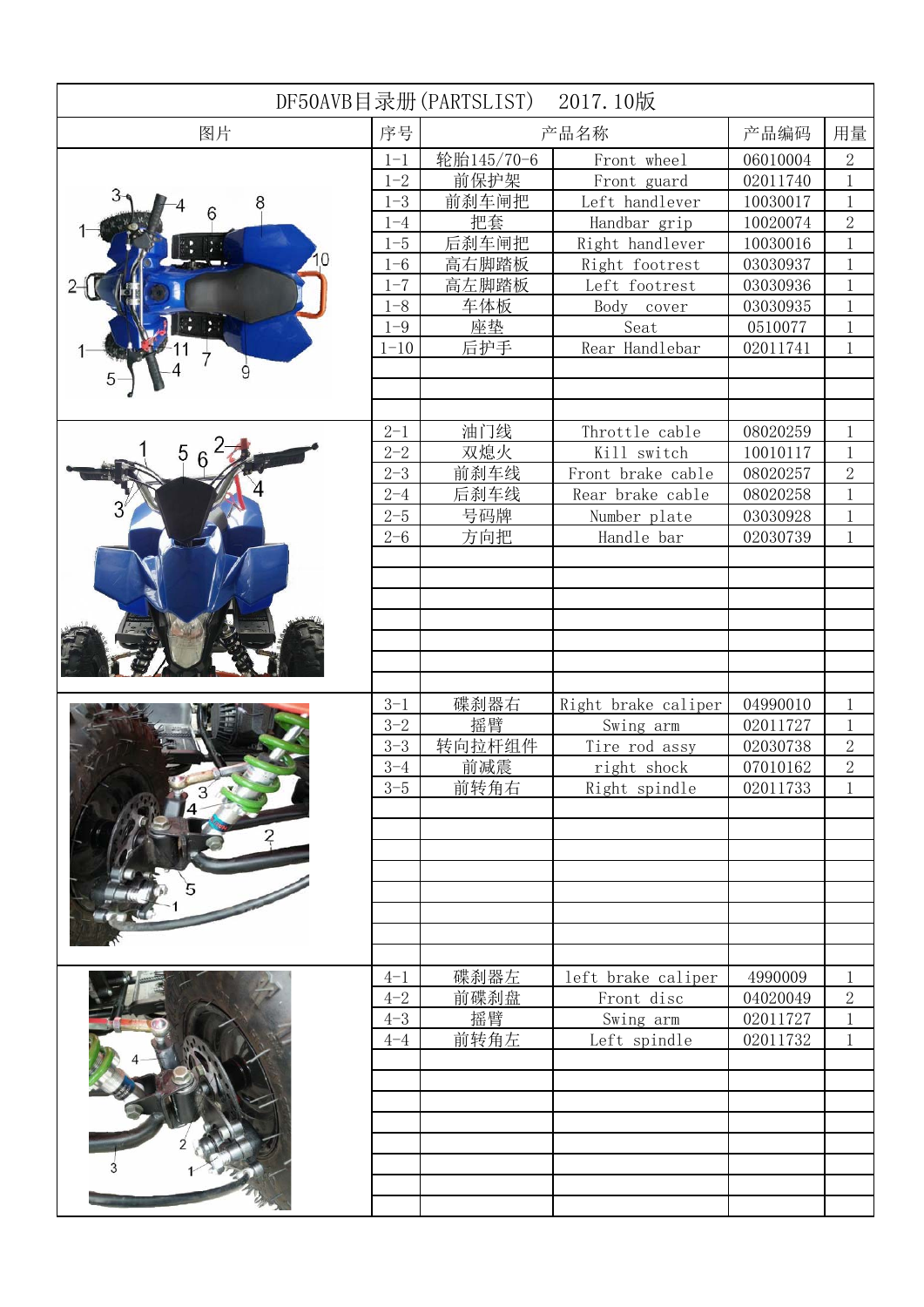| DF50AVB目录册(PARTSLIST)<br>2017.10版 |          |            |                     |          |                |
|-----------------------------------|----------|------------|---------------------|----------|----------------|
| 图片                                |          | 产品名称       |                     | 产品编码     | 用量             |
|                                   | $1 - 1$  | 轮胎145/70-6 | Front wheel         | 06010004 | $\mathbf{2}$   |
|                                   | $1 - 2$  | 前保护架       | Front guard         | 02011740 | $\mathbf{1}$   |
|                                   | $1 - 3$  | 前刹车闸把      | Left handlever      | 10030017 | $\mathbf{1}$   |
| 6                                 | $1 - 4$  | 把套         | Handbar grip        | 10020074 | $\overline{2}$ |
|                                   | $1 - 5$  | 后刹车闸把      | Right handlever     | 10030016 | 1              |
|                                   | $1 - 6$  | 高右脚踏板      | Right footrest      | 03030937 | $\mathbf{1}$   |
|                                   | $1 - 7$  | 高左脚踏板      | Left footrest       | 03030936 | $\mathbf{1}$   |
|                                   | $1 - 8$  | 车体板        | Body<br>cover       | 03030935 | $\mathbf{1}$   |
|                                   | $1 - 9$  | 座垫         | Seat                | 0510077  | $\mathbf{1}$   |
|                                   | $1 - 10$ | 后护手        | Rear Handlebar      | 02011741 | $\mathbf{1}$   |
| 9                                 |          |            |                     |          |                |
|                                   |          |            |                     |          |                |
|                                   |          |            |                     |          |                |
|                                   | $2 - 1$  | 油门线        | Throttle cable      | 08020259 | $\mathbf{1}$   |
| 5                                 | $2 - 2$  | 双熄火        | Kill switch         | 10010117 | $\mathbf{1}$   |
|                                   | $2 - 3$  | 前刹车线       | Front brake cable   | 08020257 | $\overline{2}$ |
|                                   | $2 - 4$  | 后刹车线       | Rear brake cable    | 08020258 | $\mathbf{1}$   |
|                                   | $2 - 5$  | 号码牌        | Number plate        | 03030928 | $\mathbf{1}$   |
|                                   | $2 - 6$  | 方向把        | Handle bar          | 02030739 | $\mathbf{1}$   |
|                                   |          |            |                     |          |                |
|                                   |          |            |                     |          |                |
|                                   |          |            |                     |          |                |
|                                   |          |            |                     |          |                |
|                                   |          |            |                     |          |                |
|                                   |          |            |                     |          |                |
|                                   |          |            |                     |          |                |
|                                   | $3 - 1$  | 碟刹器右       | Right brake caliper | 04990010 | $\mathbf{1}$   |
|                                   | $3 - 2$  | 摇臂         | Swing arm           | 02011727 | $\mathbf{1}$   |
|                                   | $3 - 3$  | 转向拉杆组件     | Tire rod assy       | 02030738 | $\sqrt{2}$     |
|                                   | $3 - 4$  | 前减震        | right shock         | 07010162 | $\overline{2}$ |
|                                   | $3 - 5$  | 前转角右       | Right spindle       | 02011733 | 1              |
|                                   |          |            |                     |          |                |
|                                   |          |            |                     |          |                |
|                                   |          |            |                     |          |                |
|                                   |          |            |                     |          |                |
|                                   |          |            |                     |          |                |
|                                   |          |            |                     |          |                |
|                                   |          |            |                     |          |                |
|                                   |          |            |                     |          |                |
|                                   | $4 - 1$  | 碟刹器左       | left brake caliper  | 4990009  | $\mathbf 1$    |
|                                   | $4 - 2$  | 前碟刹盘       | Front disc          | 04020049 | $\sqrt{2}$     |
|                                   | $4 - 3$  | 摇臂         | Swing arm           | 02011727 | $\mathbf 1$    |
|                                   | $4 - 4$  | 前转角左       | Left spindle        | 02011732 | 1              |
|                                   |          |            |                     |          |                |
|                                   |          |            |                     |          |                |
|                                   |          |            |                     |          |                |
|                                   |          |            |                     |          |                |
|                                   |          |            |                     |          |                |
|                                   |          |            |                     |          |                |
|                                   |          |            |                     |          |                |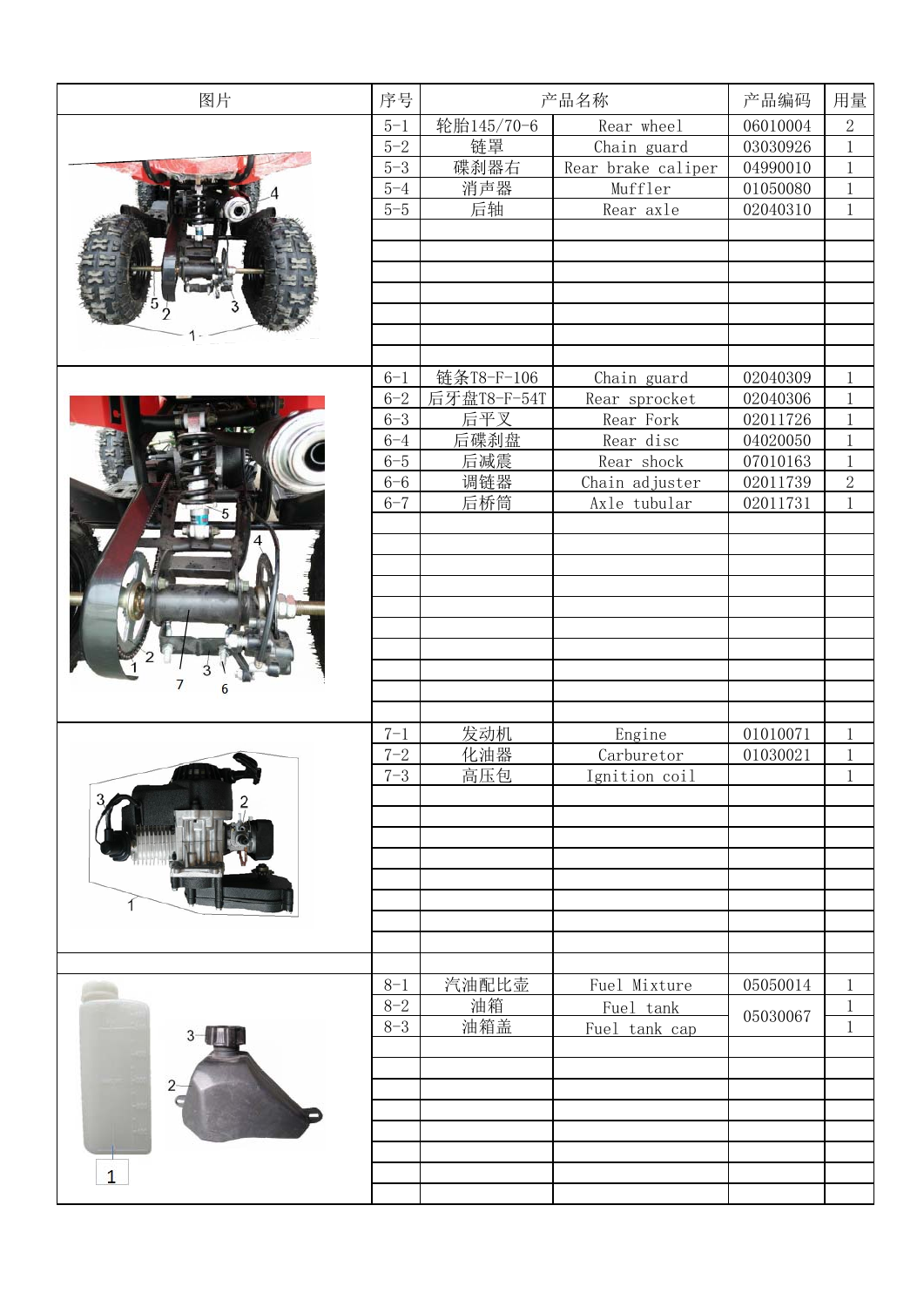| 图片             | 序号      | 产品名称        |                    | 产品编码     | 用量             |
|----------------|---------|-------------|--------------------|----------|----------------|
|                | $5 - 1$ | 轮胎145/70-6  | Rear wheel         | 06010004 | $\overline{2}$ |
|                | $5 - 2$ | 链罩          | Chain guard        | 03030926 | $\mathbf 1$    |
|                | $5 - 3$ | 碟刹器右        | Rear brake caliper | 04990010 | $\mathbf 1$    |
|                | $5 - 4$ | 消声器         | Muffler            | 01050080 | $\mathbf 1$    |
|                | $5 - 5$ | 后轴          | Rear axle          | 02040310 | $\mathbf{1}$   |
|                |         |             |                    |          |                |
|                |         |             |                    |          |                |
|                |         |             |                    |          |                |
|                |         |             |                    |          |                |
|                |         |             |                    |          |                |
|                |         |             |                    |          |                |
|                |         |             |                    |          |                |
|                | $6 - 1$ | 链条T8-F-106  | Chain guard        | 02040309 | $\,1$          |
|                | $6 - 2$ | 后牙盘T8-F-54T | Rear sprocket      | 02040306 | $\,1$          |
|                | $6 - 3$ | 后平叉         | Rear Fork          | 02011726 | $\mathbf 1$    |
|                | $6 - 4$ | 后碟刹盘        | Rear disc          | 04020050 | $\,1$          |
|                | $6 - 5$ | 后减震         | Rear shock         | 07010163 | $\,1$          |
|                | $6 - 6$ | 调链器         | Chain adjuster     | 02011739 | $\overline{2}$ |
|                | $6 - 7$ | 后桥筒         | Axle tubular       | 02011731 | $\,1$          |
|                |         |             |                    |          |                |
|                |         |             |                    |          |                |
|                |         |             |                    |          |                |
|                |         |             |                    |          |                |
|                |         |             |                    |          |                |
|                |         |             |                    |          |                |
|                |         |             |                    |          |                |
|                |         |             |                    |          |                |
| 6              |         |             |                    |          |                |
|                |         |             |                    |          |                |
|                | $7 - 1$ | 发动机         | Engine             | 01010071 | $\mathbf 1$    |
|                | $7 - 2$ | 化油器         | Carburetor         | 01030021 | $\mathbf 1$    |
| 148            | $7 - 3$ | 高压包         | Ignition coil      |          | $\,1$          |
|                |         |             |                    |          |                |
|                |         |             |                    |          |                |
|                |         |             |                    |          |                |
|                |         |             |                    |          |                |
|                |         |             |                    |          |                |
|                |         |             |                    |          |                |
|                |         |             |                    |          |                |
|                |         |             |                    |          |                |
|                |         |             |                    |          |                |
|                | $8 - 1$ | 汽油配比壶       | Fuel Mixture       | 05050014 | $\mathbf 1$    |
|                | $8 - 2$ | 油箱          | Fuel tank          | 05030067 | $\mathbf 1$    |
|                | $8 - 3$ | 油箱盖         | Fuel tank cap      |          | $\mathbf{1}$   |
|                |         |             |                    |          |                |
|                |         |             |                    |          |                |
| $\overline{2}$ |         |             |                    |          |                |
|                |         |             |                    |          |                |
|                |         |             |                    |          |                |
|                |         |             |                    |          |                |
| $\mathbf{1}$   |         |             |                    |          |                |
|                |         |             |                    |          |                |